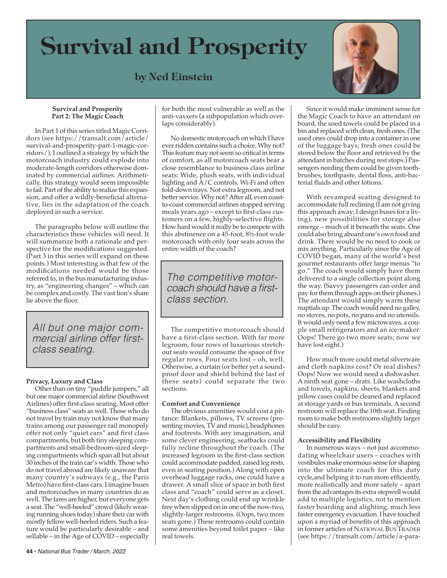# **Survival and Prosperity**

### **by Ned Einstein**



#### **Survival and Prosperity Part 2: The Magic Coach**

 In Part 1 of this series titled Magic Corridors (see https://transalt.com/article/ survival-and-prosperity-part-1-magic-corridors/), I outlined a strategy by which the motorcoach industry could explode into moderate-length corridors otherwise dominated by commercial airlines. Arithmetically, this strategy would seem impossible to fail. Part of the ability to realize this expansion, and offer a wildly-beneficial alternative, lies in the adaptation of the coach deployed in such a service.

 The paragraphs below will outline the characteristics these vehicles will need. It will summarize both a rationale and perspective for the modifications suggested. (Part 3 in this series will expand on these points.) Most interesting is that few of the modifications needed would be those referred to, in the bus manufacturing industry, as "engineering changes" – which can be complex and costly. The vast lion's share lie above the floor.

*All but one major commercial airline offer firstclass seating.*

### **Privacy, Luxury and Class**

Other than on tiny "puddle jumpers," all but one major commercial airline (Southwest Airlines) offer first-class seating. Most offer "business class" seats as well. Those who do not travel by train may not know that many trains among our passenger rail monopoly offer not only "quiet cars" and first class compartments, but both tiny sleeping compartments and small-bedroom-sized sleeping compartments which span all but about 30 inches of the train car's width. Those who do not travel abroad are likely unaware that many country's subways (e.g., the Paris Metro) have first-class cars. I imagine buses and motorcoaches in many countries do as well. The fares are higher, but everyone gets a seat. The "well-heeled" crowd (likely wearing running shoes today) share their car with mostly fellow well-heeled riders. Such a feature would be particularly desirable – and sellable – in the Age of COVID – especially

for both the most vulnerable as well as the anti-vaxxers (a subpopulation which overlaps considerably).

 No domestic motorcoach on which I have ever ridden contains such a choice. Why not? This feature may not seem so critical in terms of comfort, as all motorcoach seats bear a close resemblance to business class airline seats: Wide, plush seats, with individual lighting and  $\overline{A}/C$  controls, Wi-Fi and often fold-down trays. Not extra legroom, and not better service. Why not? After all, even coastto-coast commercial airlines stopped serving meals years ago – except to first-class customers on a few, highly-selective flights. How hard would it really be to compete with this abstinence on a 45-foot, 8½-foot wide motorcoach with only four seats across the entire width of the coach?

*The competitive motorcoach should have a firstclass section.*

 The competitive motorcoach should have a first-class section. With far more legroom, four rows of luxurious stretchout seats would consume the space of five regular rows. Four seats lost – oh, well. Otherwise, a curtain (or better yet a soundproof door and shield behind the last of these seats) could separate the two sections.

### **Comfort and Convenience**

 The obvious amenities would cost a pittance: Blankets, pillows, TV screens (presenting movies, TV and music), headphones and footrests. With any imagination, and some clever engineering, seatbacks could fully recline throughout the coach. (The increased legroom in the first-class section could accommodate padded, raised leg rests, even in seating position.) Along with open overhead luggage racks, one could have a drawer. A small slice of space in both first class and "coach" could serve as a closet. Next day's clothing could end up wrinkle free when slipped on in one of the now-two, slightly-larger restrooms. (Oops, two more seats gone.) These restrooms could contain some amenities beyond toilet paper – like real towels.

 Since it would make imminent sense for the Magic Coach to have an attendant on board, the used towels could be placed in a bin and replaced with clean, fresh ones. (The used ones could drop into a container in one of the luggage bays; fresh ones could be stored below the floor and retrieved by the attendant in batches during rest stops.) Passengers needing them could be given toothbrushes, toothpaste, dental floss, anti-bacterial fluids and other lotions.

 With revamped seating designed to accommodate full reclining  $(I \text{ am not giving})$ this approach away; I design buses for a living), new possibilities for storage also emerge – much of it beneath the seats. One could also bring aboard one's own food and drink. There would be no need to cook or mix anything. Particularly since the Age of COVID began, many of the world's best gourmet restaurants offer large menus "to go." The coach would simply have them delivered to a single collection point along the way. (Savvy passengers can order and pay for them through apps on their phones.) The attendant would simply warm these nuptials up. The coach would need no galley, no stoves, no pots, no pans and no utensils. It would only need a few microwaves, a couple small refrigerators and an ice-maker. Oops! There go two more seats; now we have lost eight.)

 How much more could metal silverware and cloth napkins cost? Or real dishes? Oops! Now we would need a dishwasher. A ninth seat gone – drats. Like washcloths and towels, napkins, sheets, blankets and pillow cases could be cleaned and replaced at storage yards or bus terminals. Asecond restroom will replace the 10th seat. Finding room to make both restrooms slightly larger should be easy.

### **Accessibility and Flexibility**

 In numerous ways – not just accommodating wheelchair users – coaches with vestibules make enormous sense for shaping into the ultimate coach for this duty cycle,and helping it to run more efficiently, more realistically and more safely – apart from the advantages its extra stepwell would add to multiple logistics, not to mention faster boarding and alighting, much less faster emergency evacuation.I have touched upon a myriad of benefits of this approach in former articles of NATIONAL BUS TRADER (see https://transalt.com/article/a-para-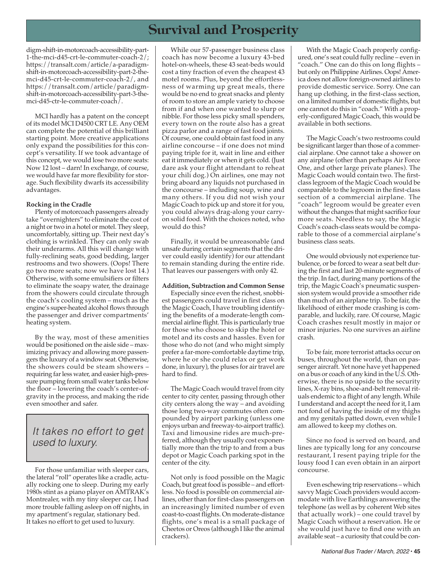## **Survival and Prosperity**

digm-shift-in-motorcoach-accessibility-part-1-the-mci-d45-crt-le-commuter-coach-2/; https://transalt.com/article/a-paradigmshift-in-motorcoach-accessibility-part-2-themci-d45-crt-le-commuter-coach-2/, and https://transalt.com/article/paradigmshift-in-motorcoach-accessibility-part-3-themci-d45-ctr-le-commuter-coach/.

 MCI hardly has a patent on the concept of its model MCI D4500 CRT LE. Any OEM can complete the potential of this brilliant starting point. More creative applications only expand the possibilities for this concept's versatility. If we took advantage of this concept, we would lose two more seats: Now 12 lost – darn! In exchange, of course, we would have far more flexibility for storage. Such flexibility dwarfs its accessibility advantages.

### **Rocking in the Cradle**

 Plenty of motorcoach passengers already take "overnighters" to eliminate the cost of a night or two in a hotel or motel. They sleep, uncomfortably, sitting up. Their next day's clothing is wrinkled. They can only swab their underarms. All this will change with fully-reclining seats, good bedding, larger restrooms and two showers. (Oops! There go two more seats; now we have lost 14.) Otherwise, with some emulsifiers or filters to eliminate the soapy water, the drainage from the showers could circulate through the coach's cooling system – much as the engine's super-heated alcohol flows through the passenger and driver compartments' heating system.

 By the way, most of these amenities would be positioned on the aisle side – maximizing privacy and allowing more passengers the luxury of a window seat. Otherwise, the showers could be steam showers – requiring farless water, and easier high-pressure pumping from small water tanks below the floor – lowering the coach's center-ofgravity in the process, and making the ride even smoother and safer.

### *It takes no effort to get used to luxury.*

 For those unfamiliar with sleeper cars, the lateral "roll" operates like a cradle, actually rocking one to sleep. During my early 1980s stint as a piano player on AMTRAK's Montrealer, with my tiny sleeper car, I had more trouble falling asleep on off nights, in my apartment's regular, stationary bed. It takes no effort to get used to luxury.

 While our 57-passenger business class coach has now become a luxury 43-bed hotel-on-wheels, these 43 seat-beds would cost a tiny fraction of even the cheapest 43 motel rooms. Plus, beyond the effortlessness of warming up great meals, there would be no end to great snacks and plenty ofroom to store an ample variety to choose from if and when one wanted to slurp or nibble. For those less picky small spenders, every town on the route also has a great pizza parlor and a range of fast food joints. Of course, one could obtain fast food in any airline concourse – if one does not mind paying triple for it, wait in line and either eat it immediately or when it gets cold. (Just dare ask your flight attendant to reheat your chili dog.) On airlines, one may not bring aboard any liquids not purchased in the concourse – including soup, wine and many others. If you did not wish your Magic Coach to pick up and store it for you, you could always drag-along your carryon solid food. With the choices noted, who would do this?

 Finally, it would be unreasonable (and unsafe during certain segments that the driver could easily identify) for our attendant to remain standing during the entire ride. That leaves our passengers with only 42.

### **Addition, Subtraction and Common Sense**

 Especially since even the richest, snobbiest passengers could travel in first class on the Magic Coach, I have troubling identifying the benefits of a moderate-length commercial airline flight. This is particularly true for those who choose to skip the hotel or motel and its costs and hassles. Even for those who do not (and who might simply prefer a far-more-comfortable daytime trip, where he or she could relax or get work done, in luxury), the pluses for air travel are hard to find.

 The Magic Coach would travel from city center to city center, passing through other city centers along the way – and avoiding those long two-way commutes often compounded by airport parking (unless one enjoys urban and freeway-to-airport traffic). Taxi and limousine rides are much-preferred, although they usually cost exponentially more than the trip to and from a bus depot or Magic Coach parking spot in the center of the city.

 Not only is food possible on the Magic Coach, but great food is possible – and effortless. No food is possible on commercial airlines, other than for first-class passengers on an increasingly limited number of even coast-to-coast flights. On moderate-distance flights, one's meal is a small package of Cheetos or Oreos (although I like the animal crackers).

 With the Magic Coach properly configured, one's seat could fully recline – even in "coach." One can do this on long flights – but only on Philippine Airlines. Oops! America does not allow foreign-owned airlines to provide domestic service. Sorry. One can hang up clothing, in the first-class section, on a limited number of domestic flights, but one cannot do this in "coach." With a properly-configured Magic Coach, this would be available in both sections.

 The Magic Coach's two restrooms could be significant larger than those of a commercial airplane. One cannot take a shower on any airplane (other than perhaps Air Force One, and other large private planes). The Magic Coach would contain two. The firstclass legroom of the Magic Coach would be comparable to the legroom in the first-class section of a commercial airplane. The "coach" legroom would be greater even without the changes that might sacrifice four more seats. Needless to say, the Magic Coach's coach-class seats would be comparable to those of a commercial airplane's business class seats.

 One would obviously not experience turbulence, or be forced to wear a seat belt during the first and last 20-minute segments of the trip. In fact, during many portions of the trip, the Magic Coach's pneumatic suspension system would provide a smoother ride than much of an airplane trip. To be fair, the likelihood of either mode crashing is comparable, and luckily, rare. Of course, Magic Coach crashes result mostly in major or minor injuries. No one survives an airline crash.

 To be fair, more terrorist attacks occur on buses, throughout the world, than on passenger aircraft. Yet none have yet happened on a bus or coach of any kind in the U.S. Otherwise, there is no upside to the security lines, X-ray bins, shoe-and-belt removal rituals endemic to a flight of any length. While I understand and accept the need forit, I am not fond of having the inside of my thighs and my genitals patted down, even while I am allowed to keep my clothes on.

 Since no food is served on board, and lines are typically long for any concourse restaurant, I resent paying triple for the lousy food I can even obtain in an airport concourse.

 Even eschewing trip reservations – which savvy Magic Coach providers would accommodate with live Earthlings answering the telephone (as well as by coherent Web sites that actually work) – one could travel by Magic Coach without a reservation. He or she would just have to find one with an available seat – a curiosity that could be con-